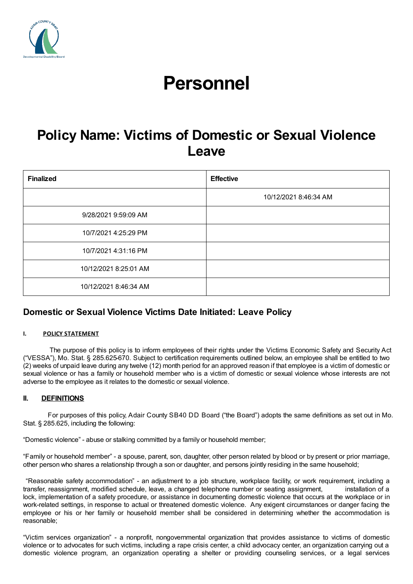

# **Personnel**

## **Policy Name: Victims of Domestic or Sexual Violence Leave**

| <b>Finalized</b>      | <b>Effective</b>      |
|-----------------------|-----------------------|
|                       | 10/12/2021 8:46:34 AM |
| 9/28/2021 9:59:09 AM  |                       |
| 10/7/2021 4:25:29 PM  |                       |
| 10/7/2021 4:31:16 PM  |                       |
| 10/12/2021 8:25:01 AM |                       |
| 10/12/2021 8:46:34 AM |                       |

### **Domestic or Sexual Violence Victims Date Initiated: Leave Policy**

#### **I. POLICY STATEMENT**

The purpose of this policy is to inform employees of their rights under the Victims Economic Safety and Security Act ("VESSA"), Mo. Stat. § 285.625-670. Subject to certification requirements outlined below, an employee shall be entitled to two (2) weeks of unpaid leave during any twelve (12) month period for an approved reason if that employee is a victim of domestic or sexual violence or has a family or household member who is a victim of domestic or sexual violence whose interests are not adverse to the employee as it relates to the domestic or sexual violence.

#### **II. DEFINITIONS**

For purposes of this policy, Adair County SB40 DD Board ("the Board") adopts the same definitions as set out in Mo. Stat. § 285.625, including the following:

"Domestic violence" - abuse or stalking committed by a family or household member;

"Family or household member" - a spouse, parent, son, daughter, other person related by blood or by present or prior marriage, other person who shares a relationship through a son or daughter, and persons jointly residing in the same household;

"Reasonable safety accommodation" - an adjustment to a job structure, workplace facility, or work requirement, including a transfer, reassignment, modified schedule, leave, a changed telephone number or seating assignment, installation of a lock, implementation of a safety procedure, or assistance in documenting domestic violence that occurs at the workplace or in work-related settings, in response to actual or threatened domestic violence. Any exigent circumstances or danger facing the employee or his or her family or household member shall be considered in determining whether the accommodation is reasonable;

"Victim services organization" - a nonprofit, nongovernmental organization that provides assistance to victims of domestic violence or to advocates for such victims, including a rape crisis center, a child advocacy center, an organization carrying out a domestic violence program, an organization operating a shelter or providing counseling services, or a legal services